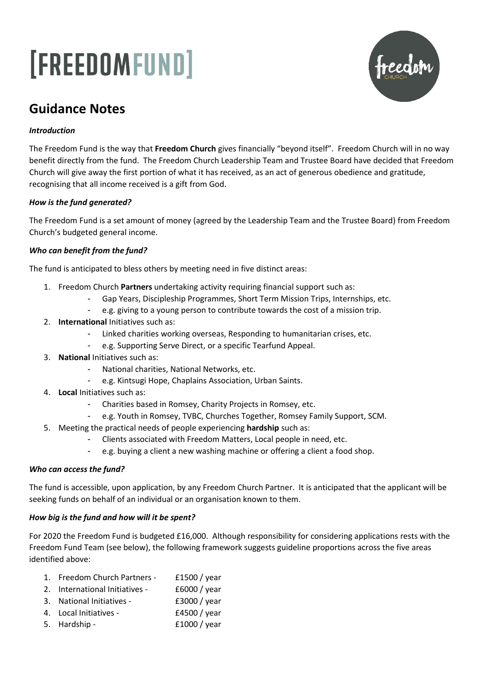# [FREEDOMFUND]



# **Guidance Notes**

# *Introduction*

The Freedom Fund is the way that **Freedom Church** gives financially "beyond itself". Freedom Church will in no way benefit directly from the fund. The Freedom Church Leadership Team and Trustee Board have decided that Freedom Church will give away the first portion of what it has received, as an act of generous obedience and gratitude, recognising that all income received is a gift from God.

# *How is the fund generated?*

The Freedom Fund is a set amount of money (agreed by the Leadership Team and the Trustee Board) from Freedom Church's budgeted general income.

# *Who can benefit from the fund?*

The fund is anticipated to bless others by meeting need in five distinct areas:

- 1. Freedom Church **Partners** undertaking activity requiring financial support such as:
	- Gap Years, Discipleship Programmes, Short Term Mission Trips, Internships, etc.
	- e.g. giving to a young person to contribute towards the cost of a mission trip.
- 2. **International** Initiatives such as:
	- Linked charities working overseas, Responding to humanitarian crises, etc.
	- e.g. Supporting Serve Direct, or a specific Tearfund Appeal.
- 3. **National** Initiatives such as:
	- National charities, National Networks, etc.
	- e.g. Kintsugi Hope, Chaplains Association, Urban Saints.
- 4. **Local** Initiatives such as:
	- Charities based in Romsey, Charity Projects in Romsey, etc.
	- e.g. Youth in Romsey, TVBC, Churches Together, Romsey Family Support, SCM.
- 5. Meeting the practical needs of people experiencing **hardship** such as:
	- Clients associated with Freedom Matters, Local people in need, etc.
	- e.g. buying a client a new washing machine or offering a client a food shop.

### *Who can access the fund?*

The fund is accessible, upon application, by any Freedom Church Partner. It is anticipated that the applicant will be seeking funds on behalf of an individual or an organisation known to them.

# *How big is the fund and how will it be spent?*

For 2020 the Freedom Fund is budgeted £16,000. Although responsibility for considering applications rests with the Freedom Fund Team (see below), the following framework suggests guideline proportions across the five areas identified above:

- 1. Freedom Church Partners £1500 / year
- 2. International Initiatives £6000 / year
- 3. National Initiatives £3000 / year
- 4. Local Initiatives The E4500 / year
- 5. Hardship example and the fillowing fillowing fillowing fillowing fillowing fillowing fillowing fillowing fillowing fillowing fillowing fillowing fillowing fillowing fillowing fillowing fillowing fillowing fillowing fi